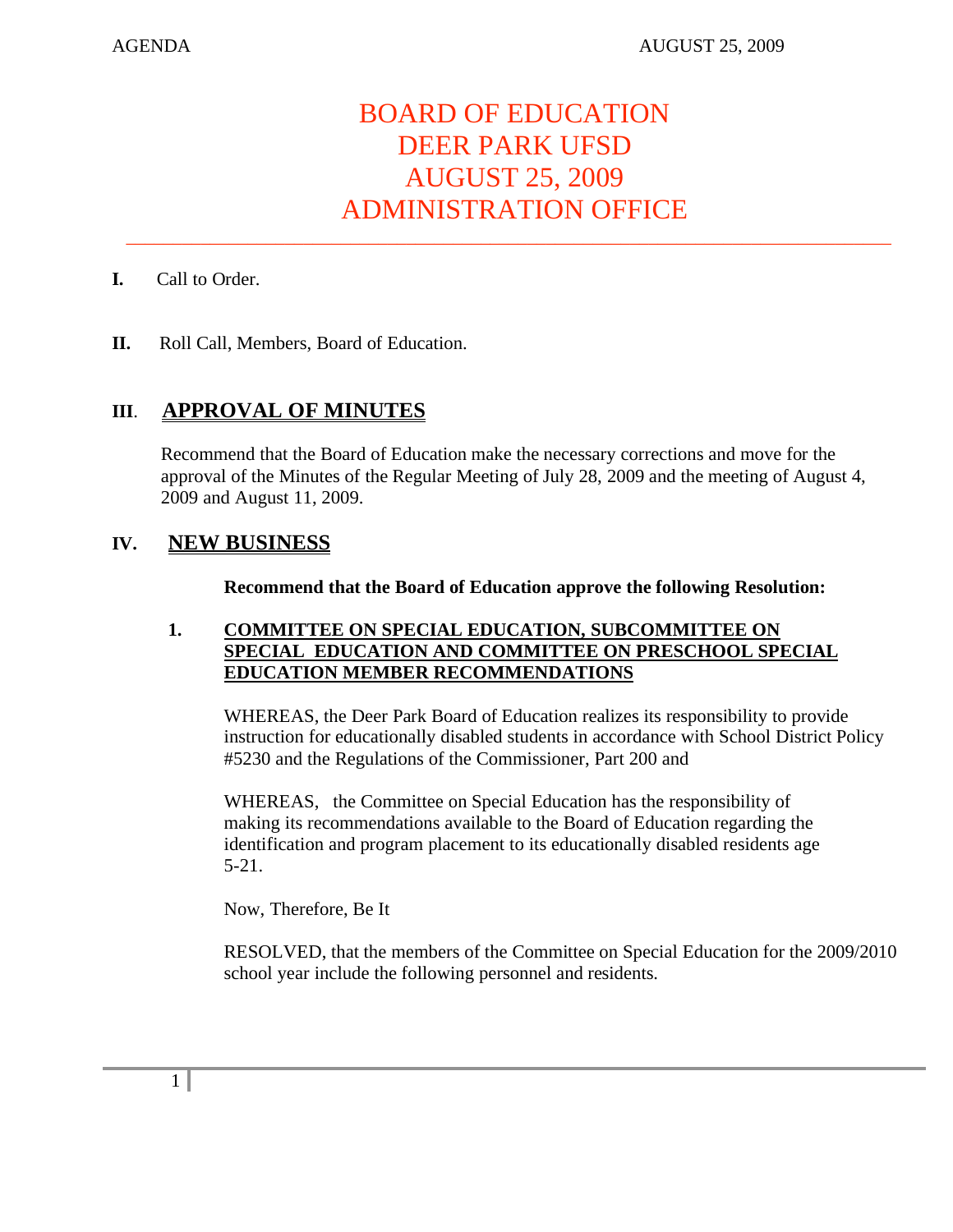# BOARD OF EDUCATION DEER PARK UFSD AUGUST 25, 2009 ADMINISTRATION OFFICE

- **I.** Call to Order.
- **II.** Roll Call, Members, Board of Education.

## **III**. **APPROVAL OF MINUTES**

Recommend that the Board of Education make the necessary corrections and move for the approval of the Minutes of the Regular Meeting of July 28, 2009 and the meeting of August 4, 2009 and August 11, 2009.

## **IV. NEW BUSINESS**

**Recommend that the Board of Education approve the following Resolution:** 

## **1. COMMITTEE ON SPECIAL EDUCATION, SUBCOMMITTEE ON SPECIAL EDUCATION AND COMMITTEE ON PRESCHOOL SPECIAL EDUCATION MEMBER RECOMMENDATIONS**

WHEREAS, the Deer Park Board of Education realizes its responsibility to provide instruction for educationally disabled students in accordance with School District Policy #5230 and the Regulations of the Commissioner, Part 200 and

WHEREAS, the Committee on Special Education has the responsibility of making its recommendations available to the Board of Education regarding the identification and program placement to its educationally disabled residents age 5-21.

Now, Therefore, Be It

RESOLVED, that the members of the Committee on Special Education for the 2009/2010 school year include the following personnel and residents.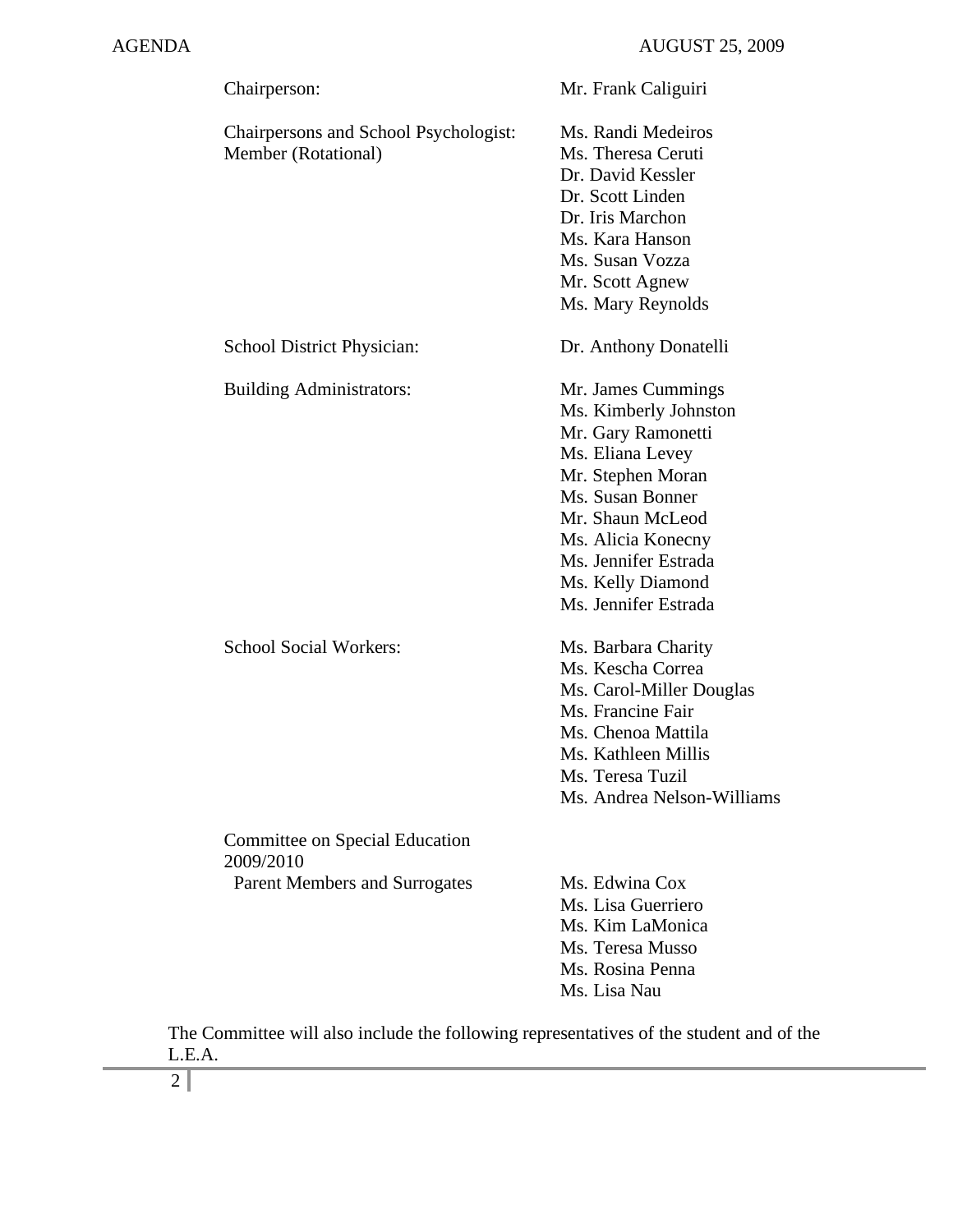| Chairperson:                                                 | Mr. Frank Caliguiri                                                                                                                                                                                                                           |
|--------------------------------------------------------------|-----------------------------------------------------------------------------------------------------------------------------------------------------------------------------------------------------------------------------------------------|
| Chairpersons and School Psychologist:<br>Member (Rotational) | Ms. Randi Medeiros<br>Ms. Theresa Ceruti<br>Dr. David Kessler<br>Dr. Scott Linden<br>Dr. Iris Marchon<br>Ms. Kara Hanson<br>Ms. Susan Vozza<br>Mr. Scott Agnew<br>Ms. Mary Reynolds                                                           |
| School District Physician:                                   | Dr. Anthony Donatelli                                                                                                                                                                                                                         |
| <b>Building Administrators:</b>                              | Mr. James Cummings<br>Ms. Kimberly Johnston<br>Mr. Gary Ramonetti<br>Ms. Eliana Levey<br>Mr. Stephen Moran<br>Ms. Susan Bonner<br>Mr. Shaun McLeod<br>Ms. Alicia Konecny<br>Ms. Jennifer Estrada<br>Ms. Kelly Diamond<br>Ms. Jennifer Estrada |
| <b>School Social Workers:</b>                                | Ms. Barbara Charity<br>Ms. Kescha Correa<br>Ms. Carol-Miller Douglas<br>Ms. Francine Fair<br>Ms. Chenoa Mattila<br>Ms. Kathleen Millis<br>Ms. Teresa Tuzil<br>Ms. Andrea Nelson-Williams                                                      |
| Committee on Special Education<br>2009/2010                  |                                                                                                                                                                                                                                               |
| <b>Parent Members and Surrogates</b>                         | Ms. Edwina Cox<br>Ms. Lisa Guerriero<br>Ms. Kim LaMonica<br>Ms. Teresa Musso<br>Ms. Rosina Penna<br>Ms. Lisa Nau                                                                                                                              |

The Committee will also include the following representatives of the student and of the L.E.A.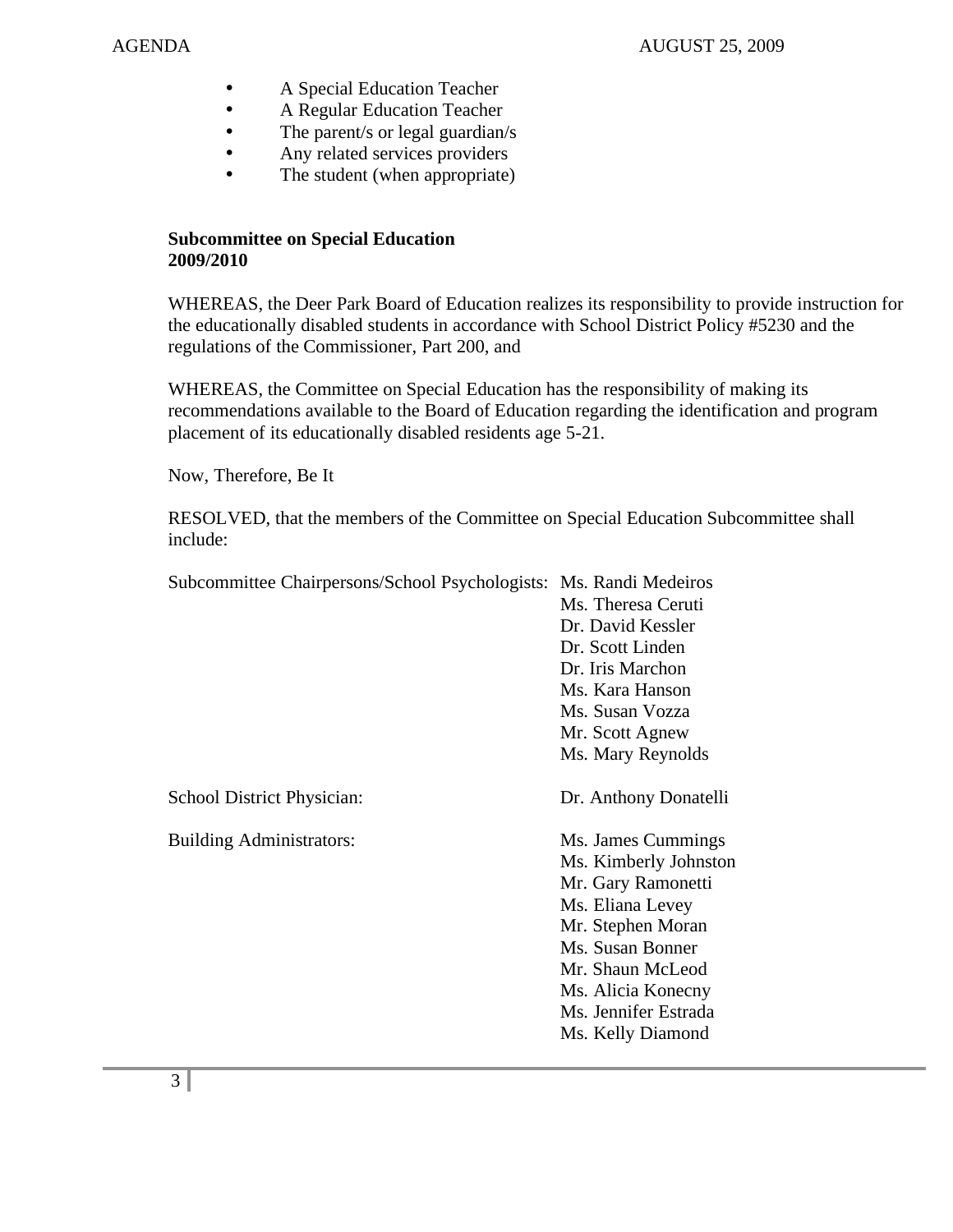- A Special Education Teacher
- A Regular Education Teacher<br>• The parent/s or legal guardian/
- The parent/s or legal guardian/s
- Any related services providers
- The student (when appropriate)

## **Subcommittee on Special Education 2009/2010**

WHEREAS, the Deer Park Board of Education realizes its responsibility to provide instruction for the educationally disabled students in accordance with School District Policy #5230 and the regulations of the Commissioner, Part 200, and

WHEREAS, the Committee on Special Education has the responsibility of making its recommendations available to the Board of Education regarding the identification and program placement of its educationally disabled residents age 5-21.

Now, Therefore, Be It

RESOLVED, that the members of the Committee on Special Education Subcommittee shall include:

| Subcommittee Chairpersons/School Psychologists: | Ms. Randi Medeiros    |
|-------------------------------------------------|-----------------------|
|                                                 | Ms. Theresa Ceruti    |
|                                                 | Dr. David Kessler     |
|                                                 | Dr. Scott Linden      |
|                                                 | Dr. Iris Marchon      |
|                                                 | Ms. Kara Hanson       |
|                                                 | Ms. Susan Vozza       |
|                                                 | Mr. Scott Agnew       |
|                                                 | Ms. Mary Reynolds     |
|                                                 |                       |
| School District Physician:                      | Dr. Anthony Donatelli |
| <b>Building Administrators:</b>                 | Ms. James Cummings    |
|                                                 | Ms. Kimberly Johnston |
|                                                 | Mr. Gary Ramonetti    |
|                                                 | Ms. Eliana Levey      |
|                                                 | Mr. Stephen Moran     |
|                                                 | Ms. Susan Bonner      |
|                                                 | Mr. Shaun McLeod      |
|                                                 | Ms. Alicia Konecny    |
|                                                 | Ms. Jennifer Estrada  |
|                                                 | Ms. Kelly Diamond     |
|                                                 |                       |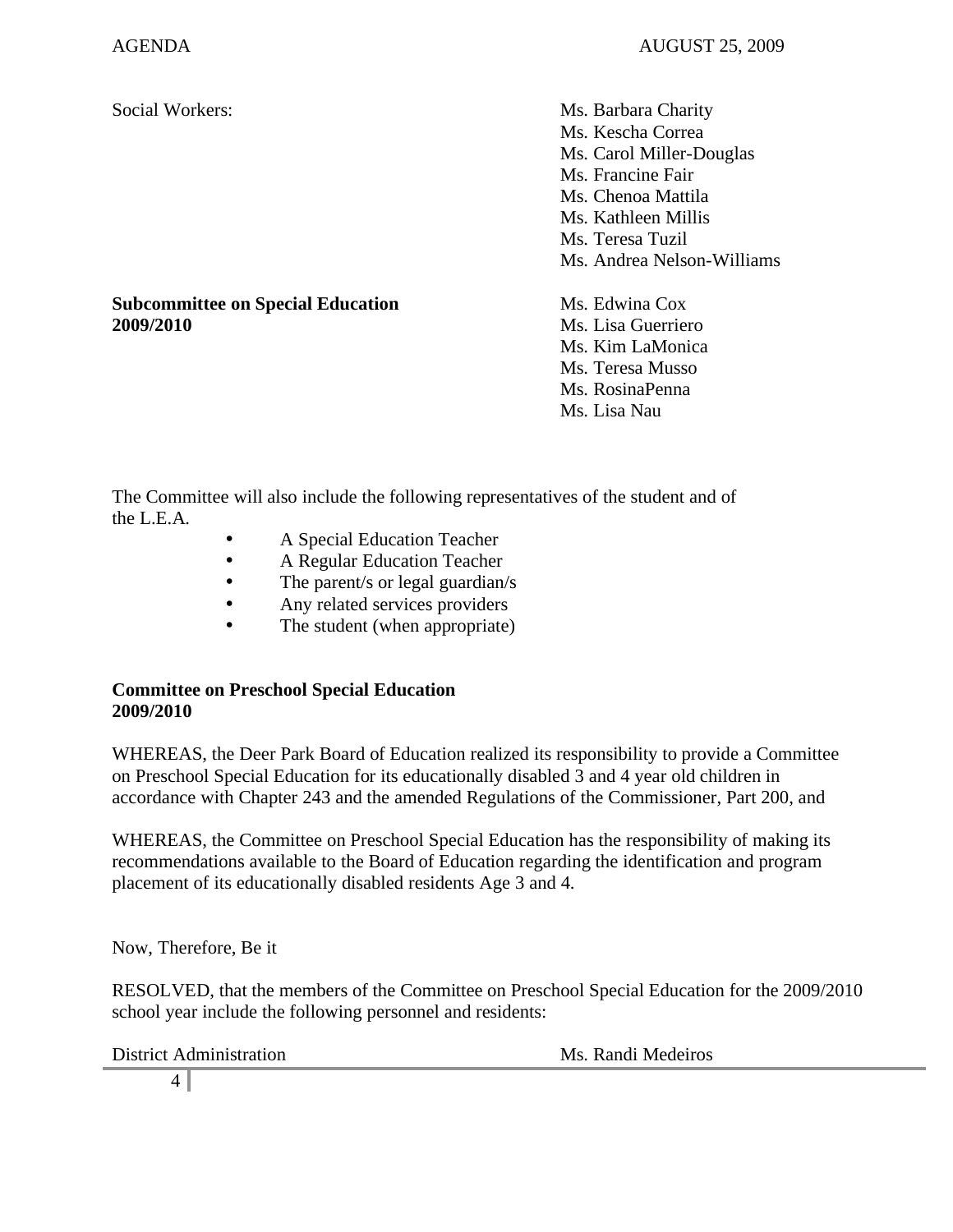Social Workers: Ms. Barbara Charity Ms. Kescha Correa Ms. Carol Miller-Douglas Ms. Francine Fair Ms. Chenoa Mattila Ms. Kathleen Millis Ms. Teresa Tuzil Ms. Andrea Nelson-Williams

**Subcommittee on Special Education** Ms. Edwina Cox **2009/2010** Ms. Lisa Guerriero

 Ms. Kim LaMonica Ms. Teresa Musso Ms. RosinaPenna Ms. Lisa Nau

The Committee will also include the following representatives of the student and of the L.E.A.

- A Special Education Teacher
- A Regular Education Teacher
- The parent/s or legal guardian/s
- Any related services providers
- The student (when appropriate)

## **Committee on Preschool Special Education 2009/2010**

WHEREAS, the Deer Park Board of Education realized its responsibility to provide a Committee on Preschool Special Education for its educationally disabled 3 and 4 year old children in accordance with Chapter 243 and the amended Regulations of the Commissioner, Part 200, and

WHEREAS, the Committee on Preschool Special Education has the responsibility of making its recommendations available to the Board of Education regarding the identification and program placement of its educationally disabled residents Age 3 and 4.

Now, Therefore, Be it

RESOLVED, that the members of the Committee on Preschool Special Education for the 2009/2010 school year include the following personnel and residents:

District Administration and Ms. Randi Medeiros

4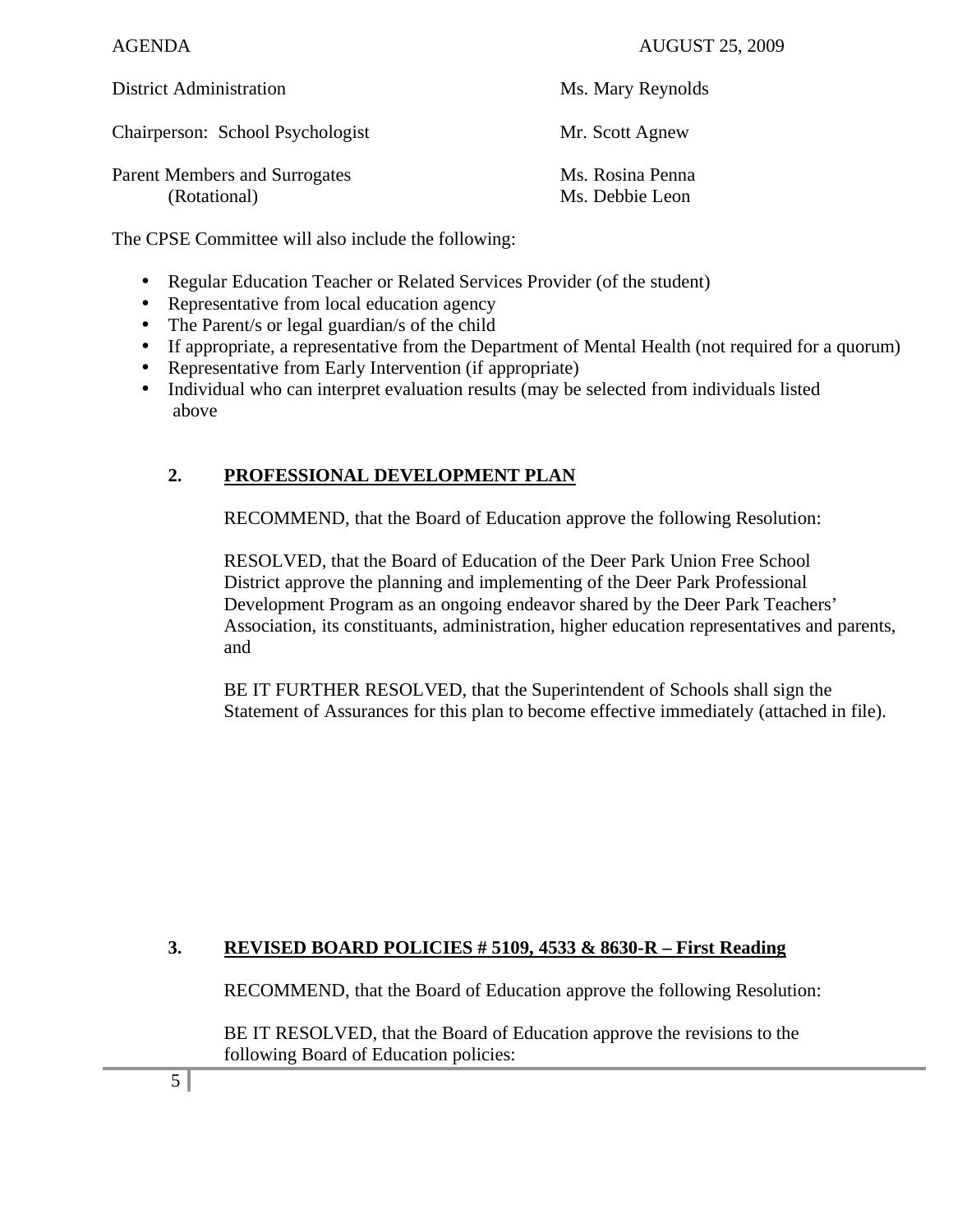| <b>District Administration</b>                       | Ms. Mary Reynolds                   |
|------------------------------------------------------|-------------------------------------|
| Chairperson: School Psychologist                     | Mr. Scott Agnew                     |
| <b>Parent Members and Surrogates</b><br>(Rotational) | Ms. Rosina Penna<br>Ms. Debbie Leon |

The CPSE Committee will also include the following:

- Regular Education Teacher or Related Services Provider (of the student)
- Representative from local education agency
- The Parent/s or legal guardian/s of the child
- If appropriate, a representative from the Department of Mental Health (not required for a quorum)
- Representative from Early Intervention (if appropriate)
- Individual who can interpret evaluation results (may be selected from individuals listed above

## **2. PROFESSIONAL DEVELOPMENT PLAN**

RECOMMEND, that the Board of Education approve the following Resolution:

RESOLVED, that the Board of Education of the Deer Park Union Free School District approve the planning and implementing of the Deer Park Professional Development Program as an ongoing endeavor shared by the Deer Park Teachers' Association, its constituants, administration, higher education representatives and parents, and

BE IT FURTHER RESOLVED, that the Superintendent of Schools shall sign the Statement of Assurances for this plan to become effective immediately (attached in file).

## **3. REVISED BOARD POLICIES # 5109, 4533 & 8630-R – First Reading**

RECOMMEND, that the Board of Education approve the following Resolution:

BE IT RESOLVED, that the Board of Education approve the revisions to the following Board of Education policies: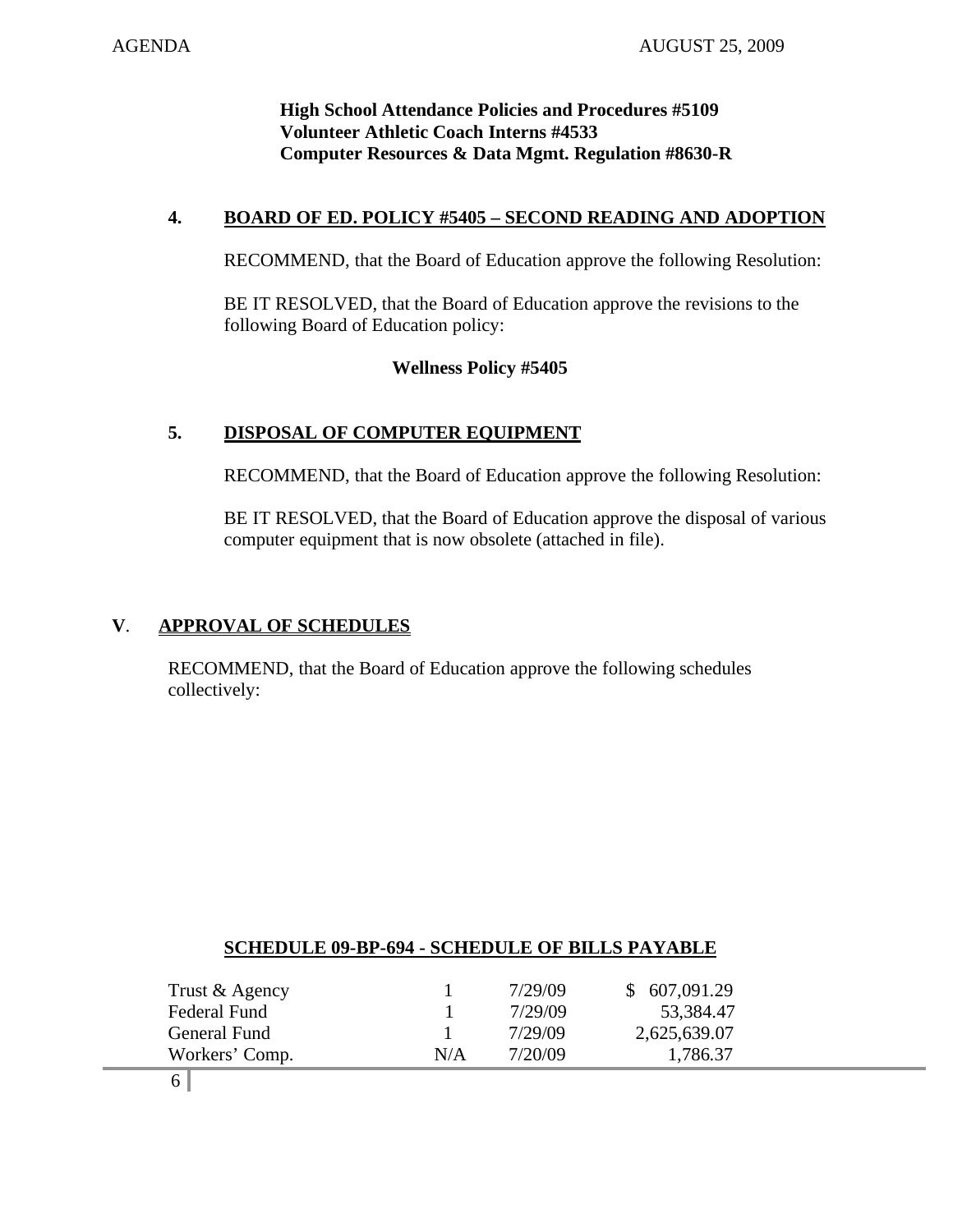## **High School Attendance Policies and Procedures #5109 Volunteer Athletic Coach Interns #4533 Computer Resources & Data Mgmt. Regulation #8630-R**

## **4. BOARD OF ED. POLICY #5405 – SECOND READING AND ADOPTION**

RECOMMEND, that the Board of Education approve the following Resolution:

BE IT RESOLVED, that the Board of Education approve the revisions to the following Board of Education policy:

## **Wellness Policy #5405**

## **5. DISPOSAL OF COMPUTER EQUIPMENT**

RECOMMEND, that the Board of Education approve the following Resolution:

BE IT RESOLVED, that the Board of Education approve the disposal of various computer equipment that is now obsolete (attached in file).

## **V**. **APPROVAL OF SCHEDULES**

RECOMMEND, that the Board of Education approve the following schedules collectively:

| <b>SCHEDULE 09-BP-694 - SCHEDULE OF BILLS PAYABLE</b> |     |         |              |
|-------------------------------------------------------|-----|---------|--------------|
| Trust & Agency                                        |     | 7/29/09 | \$607,091.29 |
| Federal Fund                                          |     | 7/29/09 | 53,384.47    |
| General Fund                                          |     | 7/29/09 | 2,625,639.07 |
| Workers' Comp.                                        | N/A | 7/20/09 | 1,786.37     |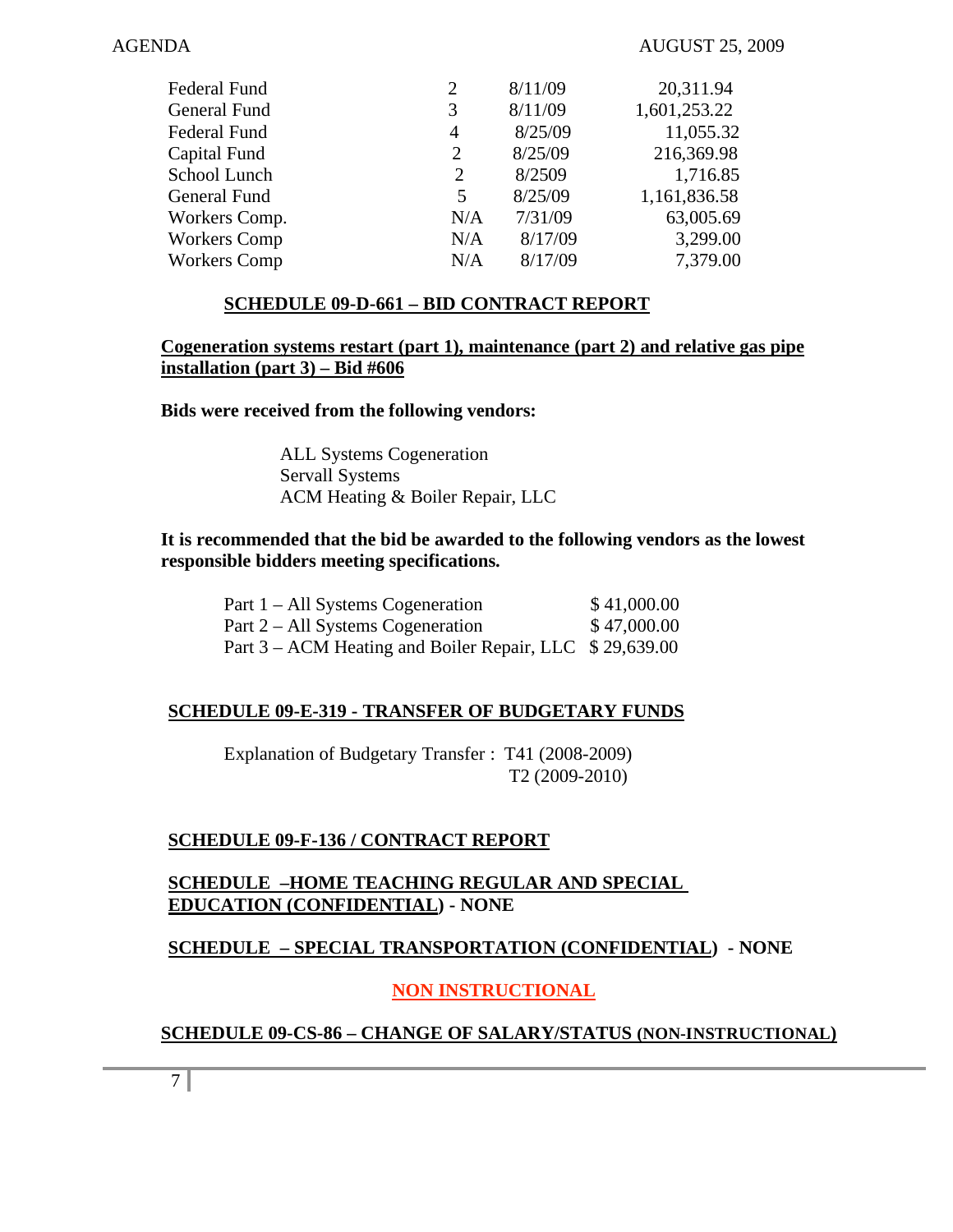| Federal Fund        | 2   | 8/11/09 | 20,311.94    |
|---------------------|-----|---------|--------------|
| General Fund        | 3   | 8/11/09 | 1,601,253.22 |
| <b>Federal Fund</b> | 4   | 8/25/09 | 11,055.32    |
| Capital Fund        | 2   | 8/25/09 | 216,369.98   |
| School Lunch        | 2   | 8/2509  | 1,716.85     |
| General Fund        | 5   | 8/25/09 | 1,161,836.58 |
| Workers Comp.       | N/A | 7/31/09 | 63,005.69    |
| <b>Workers Comp</b> | N/A | 8/17/09 | 3,299.00     |
| <b>Workers Comp</b> | N/A | 8/17/09 | 7,379.00     |
|                     |     |         |              |

## **SCHEDULE 09-D-661 – BID CONTRACT REPORT**

## **Cogeneration systems restart (part 1), maintenance (part 2) and relative gas pipe installation (part 3) – Bid #606**

**Bids were received from the following vendors:** 

ALL Systems Cogeneration Servall Systems ACM Heating & Boiler Repair, LLC

#### **It is recommended that the bid be awarded to the following vendors as the lowest responsible bidders meeting specifications.**

| Part $1 - All Systems Cogeneration$                     | \$41,000.00 |
|---------------------------------------------------------|-------------|
| Part $2 - All Systems Cogeneration$                     | \$47,000.00 |
| Part 3 – ACM Heating and Boiler Repair, LLC \$29,639.00 |             |

## **SCHEDULE 09-E-319 - TRANSFER OF BUDGETARY FUNDS**

Explanation of Budgetary Transfer : T41 (2008-2009) T2 (2009-2010)

## **SCHEDULE 09-F-136 / CONTRACT REPORT**

## **SCHEDULE –HOME TEACHING REGULAR AND SPECIAL EDUCATION (CONFIDENTIAL) - NONE**

## **SCHEDULE – SPECIAL TRANSPORTATION (CONFIDENTIAL) - NONE**

## **NON INSTRUCTIONAL**

## **SCHEDULE 09-CS-86 – CHANGE OF SALARY/STATUS (NON-INSTRUCTIONAL)**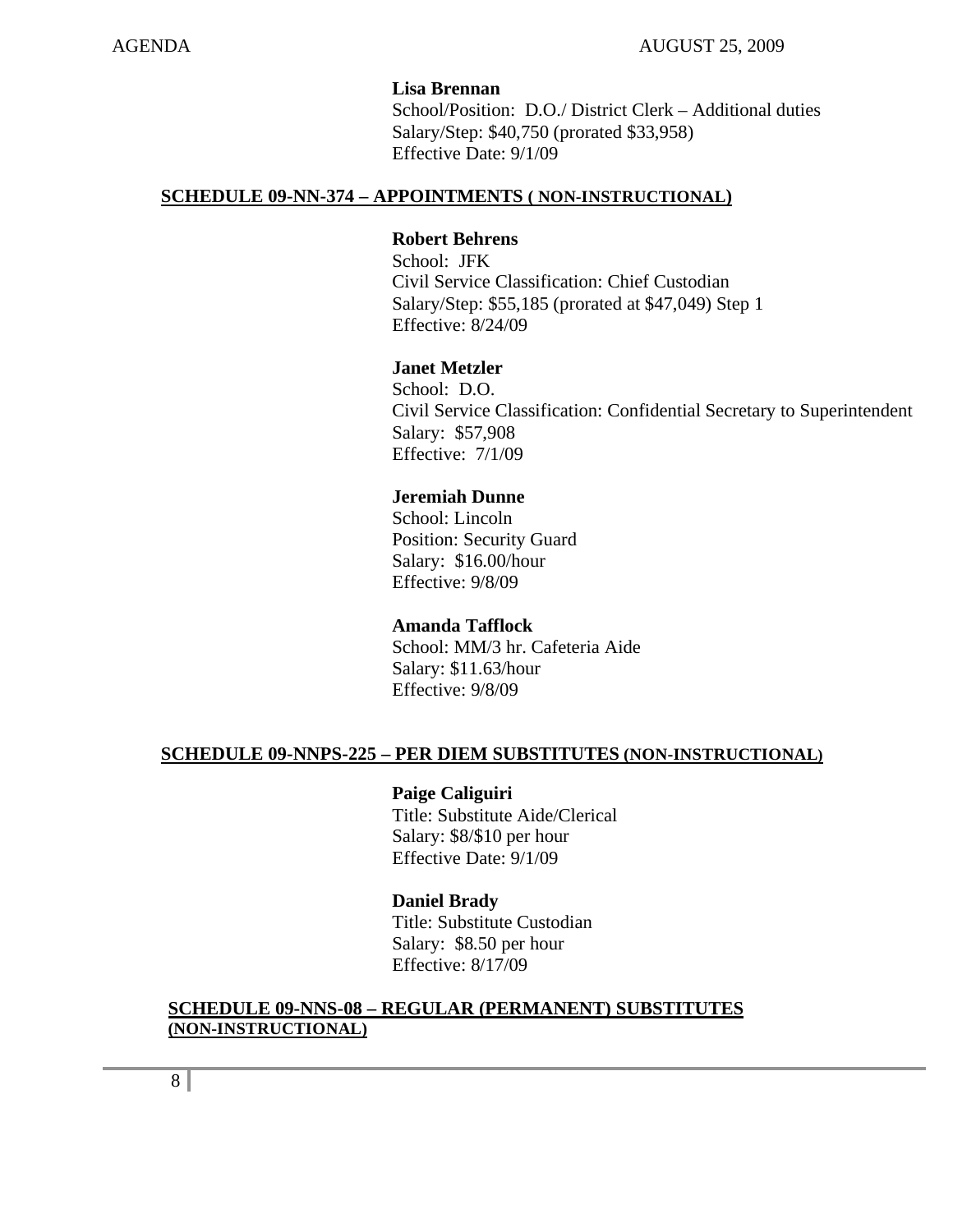### **Lisa Brennan**

School/Position: D.O./ District Clerk – Additional duties Salary/Step: \$40,750 (prorated \$33,958) Effective Date: 9/1/09

#### **SCHEDULE 09-NN-374 – APPOINTMENTS ( NON-INSTRUCTIONAL)**

#### **Robert Behrens**

School: JFK Civil Service Classification: Chief Custodian Salary/Step: \$55,185 (prorated at \$47,049) Step 1 Effective: 8/24/09

## **Janet Metzler**

 School: D.O. Civil Service Classification: Confidential Secretary to Superintendent Salary: \$57,908 Effective: 7/1/09

## **Jeremiah Dunne**

 School: Lincoln Position: Security Guard Salary: \$16.00/hour Effective: 9/8/09

#### **Amanda Tafflock**

 School: MM/3 hr. Cafeteria Aide Salary: \$11.63/hour Effective: 9/8/09

## **SCHEDULE 09-NNPS-225 – PER DIEM SUBSTITUTES (NON-INSTRUCTIONAL)**

 **Paige Caliguiri**  Title: Substitute Aide/Clerical Salary: \$8/\$10 per hour Effective Date: 9/1/09

## **Daniel Brady**

 Title: Substitute Custodian Salary: \$8.50 per hour Effective: 8/17/09

## **SCHEDULE 09-NNS-08 – REGULAR (PERMANENT) SUBSTITUTES (NON-INSTRUCTIONAL)**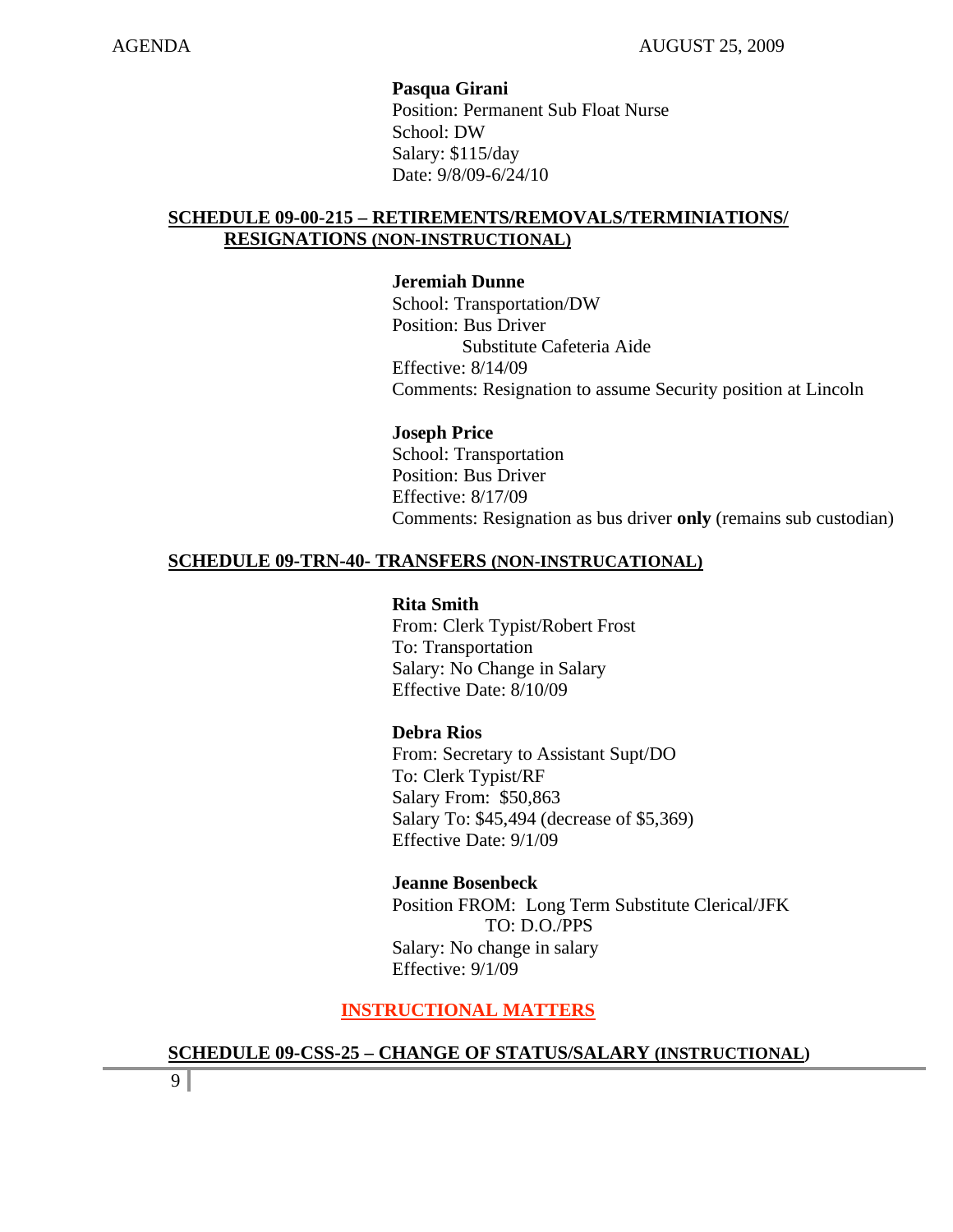#### **Pasqua Girani**

Position: Permanent Sub Float Nurse School: DW Salary: \$115/day Date: 9/8/09-6/24/10

## **SCHEDULE 09-00-215 – RETIREMENTS/REMOVALS/TERMINIATIONS/ RESIGNATIONS (NON-INSTRUCTIONAL)**

## **Jeremiah Dunne**

School: Transportation/DW Position: Bus Driver Substitute Cafeteria Aide Effective: 8/14/09 Comments: Resignation to assume Security position at Lincoln

## **Joseph Price**

School: Transportation Position: Bus Driver Effective: 8/17/09 Comments: Resignation as bus driver **only** (remains sub custodian)

#### **SCHEDULE 09-TRN-40- TRANSFERS (NON-INSTRUCATIONAL)**

#### **Rita Smith**

From: Clerk Typist/Robert Frost To: Transportation Salary: No Change in Salary Effective Date: 8/10/09

#### **Debra Rios**

From: Secretary to Assistant Supt/DO To: Clerk Typist/RF Salary From: \$50,863 Salary To: \$45,494 (decrease of \$5,369) Effective Date: 9/1/09

#### **Jeanne Bosenbeck**

Position FROM: Long Term Substitute Clerical/JFK TO: D.O./PPS Salary: No change in salary Effective: 9/1/09

## **INSTRUCTIONAL MATTERS**

## **SCHEDULE 09-CSS-25 – CHANGE OF STATUS/SALARY (INSTRUCTIONAL)**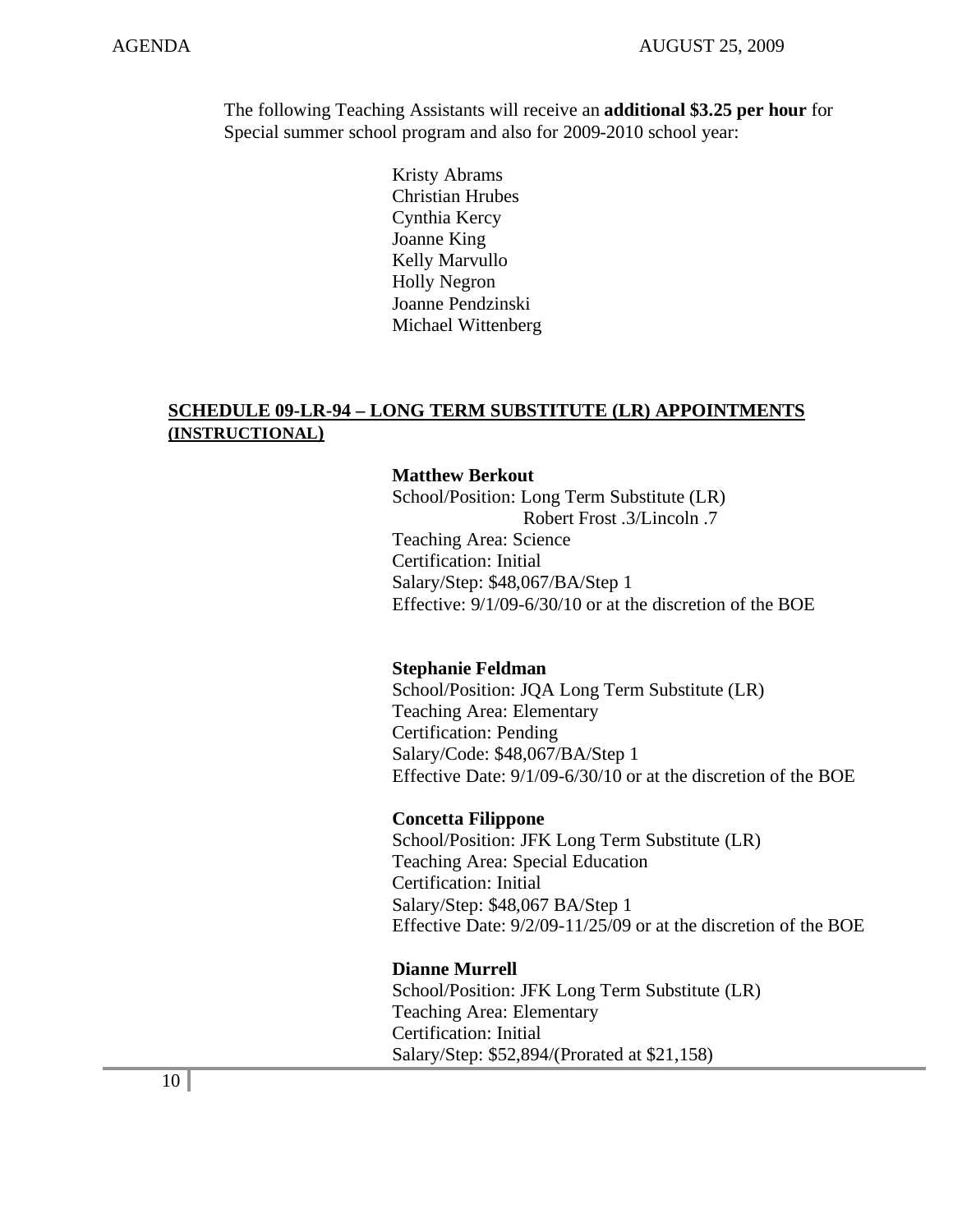The following Teaching Assistants will receive an **additional \$3.25 per hour** for Special summer school program and also for 2009-2010 school year:

> Kristy Abrams Christian Hrubes Cynthia Kercy Joanne King Kelly Marvullo Holly Negron Joanne Pendzinski Michael Wittenberg

## **SCHEDULE 09-LR-94 – LONG TERM SUBSTITUTE (LR) APPOINTMENTS (INSTRUCTIONAL)**

#### **Matthew Berkout**

 School/Position: Long Term Substitute (LR) Robert Frost .3/Lincoln .7 Teaching Area: Science Certification: Initial Salary/Step: \$48,067/BA/Step 1 Effective: 9/1/09-6/30/10 or at the discretion of the BOE

#### **Stephanie Feldman**

 School/Position: JQA Long Term Substitute (LR) Teaching Area: Elementary Certification: Pending Salary/Code: \$48,067/BA/Step 1 Effective Date: 9/1/09-6/30/10 or at the discretion of the BOE

#### **Concetta Filippone**

 School/Position: JFK Long Term Substitute (LR) Teaching Area: Special Education Certification: Initial Salary/Step: \$48,067 BA/Step 1 Effective Date: 9/2/09-11/25/09 or at the discretion of the BOE

## **Dianne Murrell**

 School/Position: JFK Long Term Substitute (LR) Teaching Area: Elementary Certification: Initial Salary/Step: \$52,894/(Prorated at \$21,158)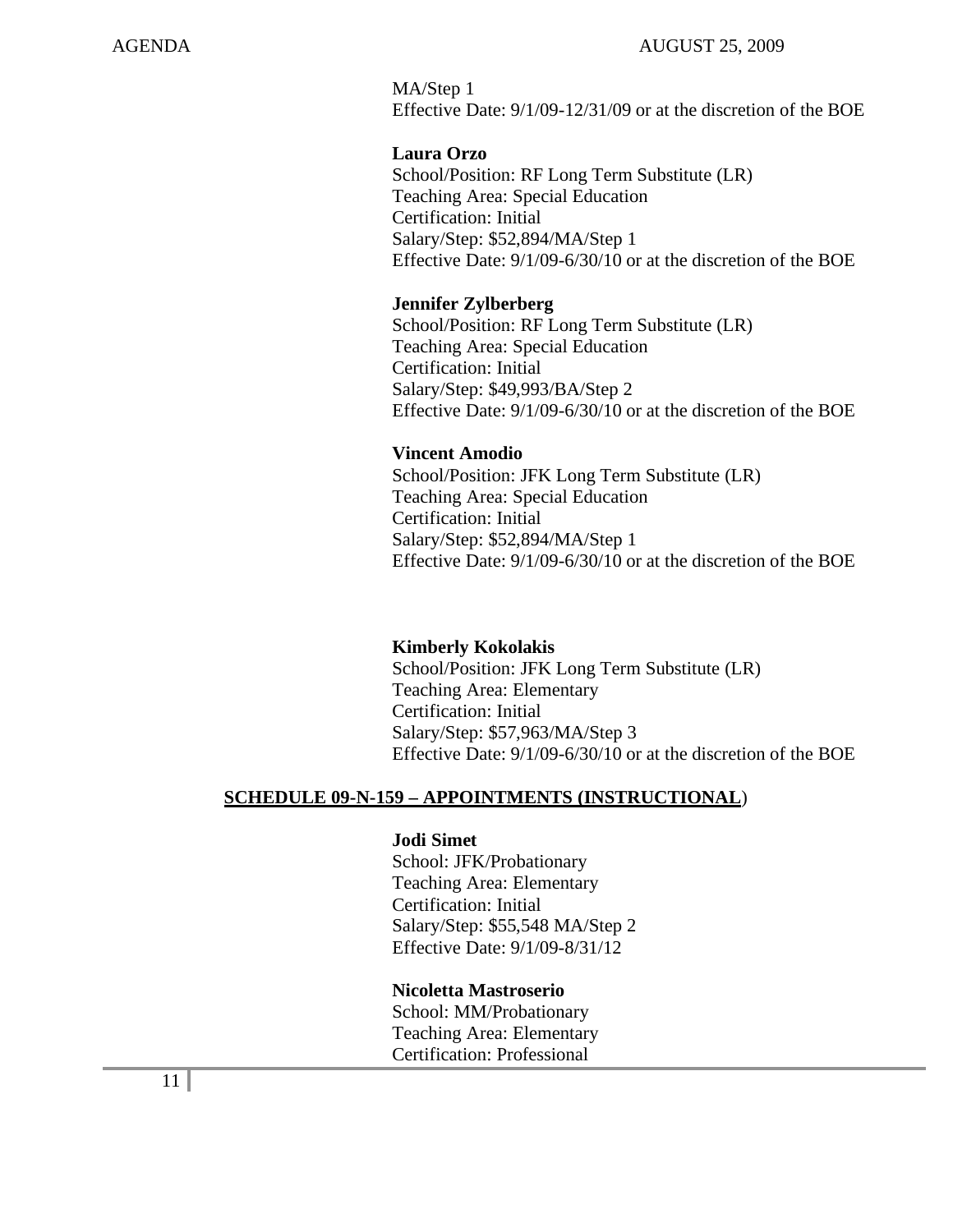MA/Step 1 Effective Date: 9/1/09-12/31/09 or at the discretion of the BOE

## **Laura Orzo**

 School/Position: RF Long Term Substitute (LR) Teaching Area: Special Education Certification: Initial Salary/Step: \$52,894/MA/Step 1 Effective Date: 9/1/09-6/30/10 or at the discretion of the BOE

## **Jennifer Zylberberg**

 School/Position: RF Long Term Substitute (LR) Teaching Area: Special Education Certification: Initial Salary/Step: \$49,993/BA/Step 2 Effective Date: 9/1/09-6/30/10 or at the discretion of the BOE

## **Vincent Amodio**

 School/Position: JFK Long Term Substitute (LR) Teaching Area: Special Education Certification: Initial Salary/Step: \$52,894/MA/Step 1 Effective Date: 9/1/09-6/30/10 or at the discretion of the BOE

#### **Kimberly Kokolakis**

 School/Position: JFK Long Term Substitute (LR) Teaching Area: Elementary Certification: Initial Salary/Step: \$57,963/MA/Step 3 Effective Date: 9/1/09-6/30/10 or at the discretion of the BOE

## **SCHEDULE 09-N-159 – APPOINTMENTS (INSTRUCTIONAL**)

### **Jodi Simet**

School: JFK/Probationary Teaching Area: Elementary Certification: Initial Salary/Step: \$55,548 MA/Step 2 Effective Date: 9/1/09-8/31/12

#### **Nicoletta Mastroserio**

School: MM/Probationary Teaching Area: Elementary Certification: Professional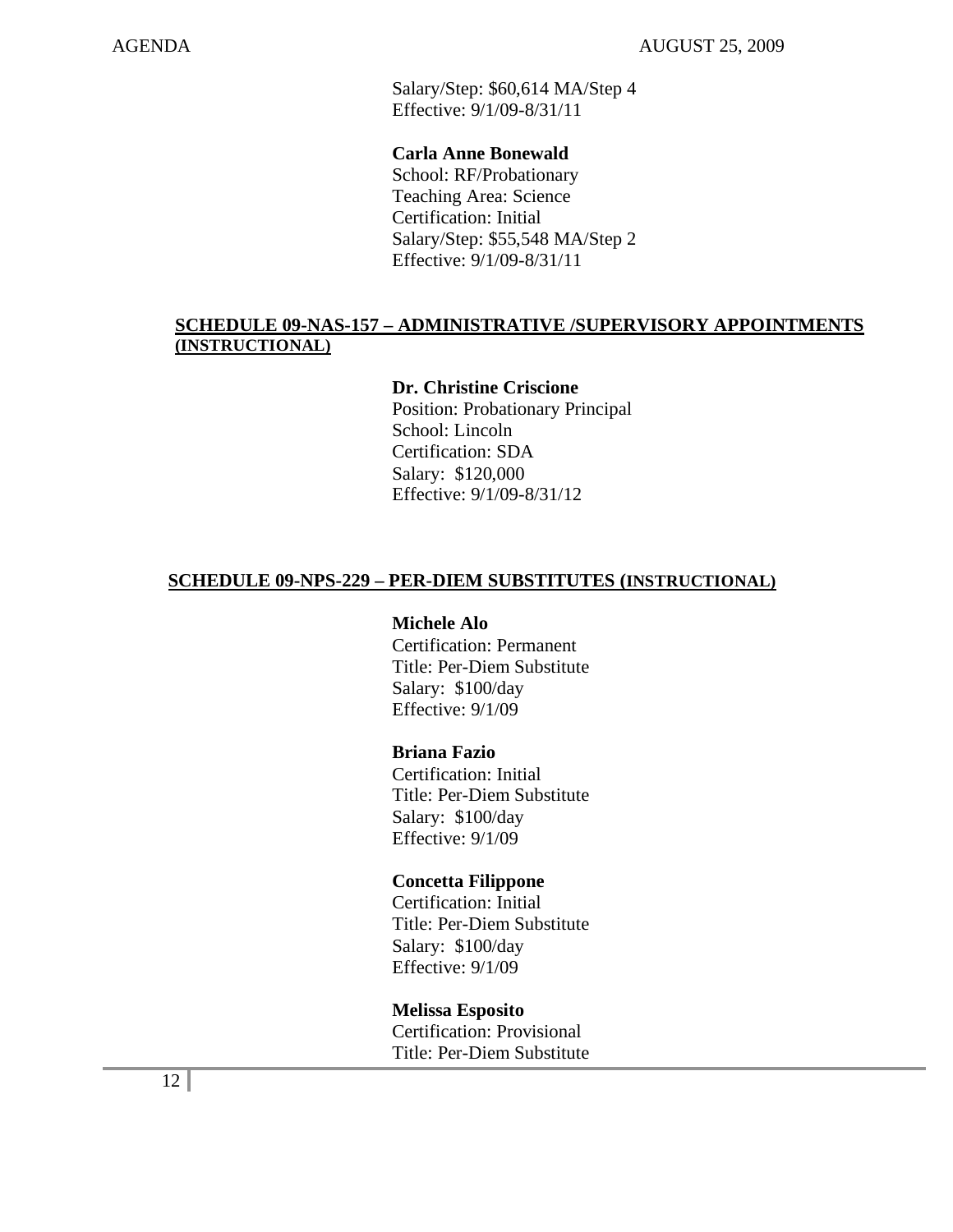Salary/Step: \$60,614 MA/Step 4 Effective: 9/1/09-8/31/11

## **Carla Anne Bonewald**

 School: RF/Probationary Teaching Area: Science Certification: Initial Salary/Step: \$55,548 MA/Step 2 Effective: 9/1/09-8/31/11

## **SCHEDULE 09-NAS-157 – ADMINISTRATIVE /SUPERVISORY APPOINTMENTS (INSTRUCTIONAL)**

## **Dr. Christine Criscione**

 Position: Probationary Principal School: Lincoln Certification: SDA Salary: \$120,000 Effective: 9/1/09-8/31/12

#### **SCHEDULE 09-NPS-229 – PER-DIEM SUBSTITUTES (INSTRUCTIONAL)**

#### **Michele Alo**

 Certification: Permanent Title: Per-Diem Substitute Salary: \$100/day Effective: 9/1/09

#### **Briana Fazio**

 Certification: Initial Title: Per-Diem Substitute Salary: \$100/day Effective: 9/1/09

#### **Concetta Filippone**

 Certification: Initial Title: Per-Diem Substitute Salary: \$100/day Effective: 9/1/09

#### **Melissa Esposito**

 Certification: Provisional Title: Per-Diem Substitute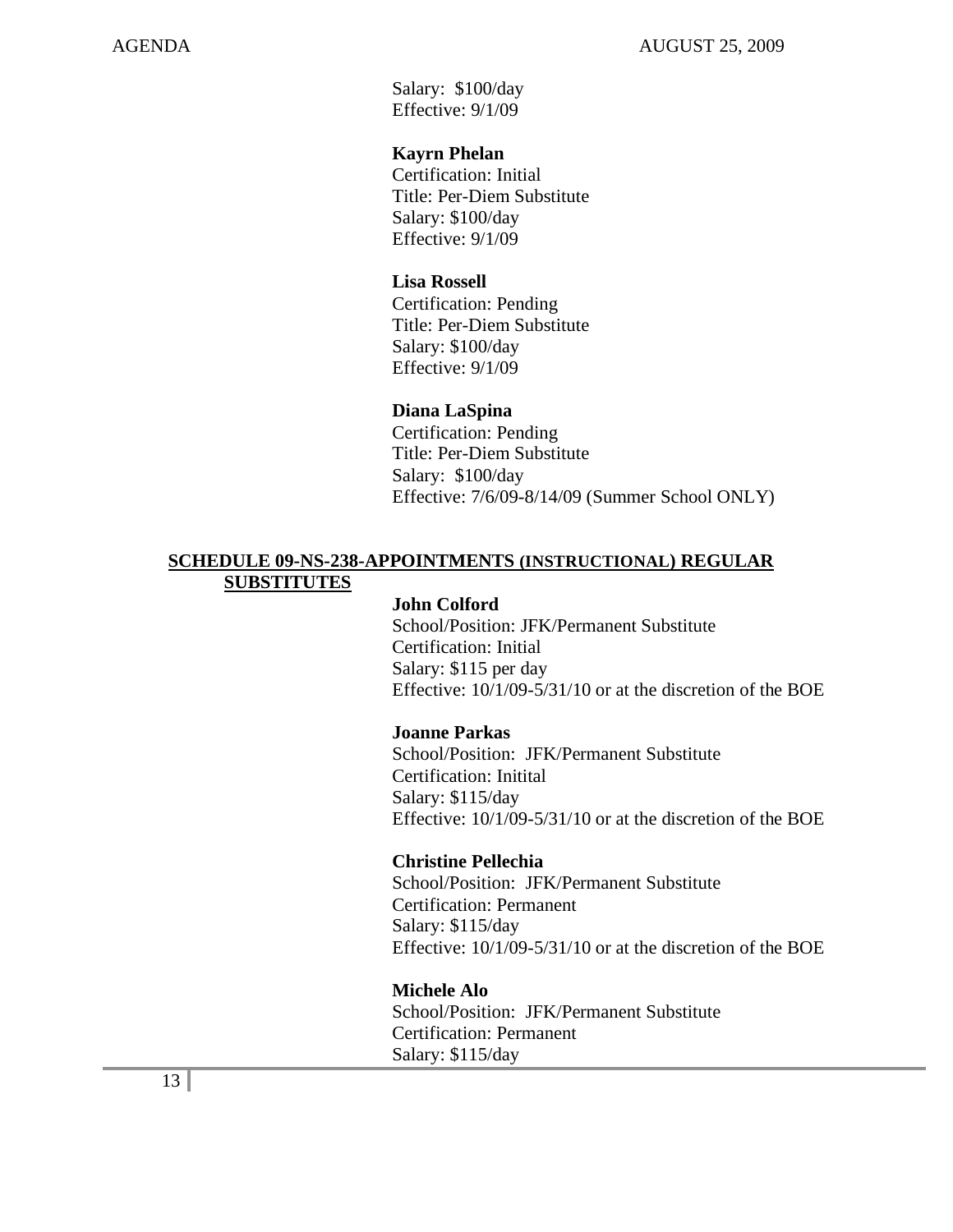Salary: \$100/day Effective: 9/1/09

## **Kayrn Phelan**

 Certification: Initial Title: Per-Diem Substitute Salary: \$100/day Effective: 9/1/09

## **Lisa Rossell**

 Certification: Pending Title: Per-Diem Substitute Salary: \$100/day Effective: 9/1/09

## **Diana LaSpina**

 Certification: Pending Title: Per-Diem Substitute Salary: \$100/day Effective: 7/6/09-8/14/09 (Summer School ONLY)

## **SCHEDULE 09-NS-238-APPOINTMENTS (INSTRUCTIONAL) REGULAR SUBSTITUTES**

## **John Colford**

School/Position: JFK/Permanent Substitute Certification: Initial Salary: \$115 per day Effective: 10/1/09-5/31/10 or at the discretion of the BOE

#### **Joanne Parkas**

 School/Position: JFK/Permanent Substitute Certification: Initital Salary: \$115/day Effective: 10/1/09-5/31/10 or at the discretion of the BOE

## **Christine Pellechia**

 School/Position: JFK/Permanent Substitute Certification: Permanent Salary: \$115/day Effective: 10/1/09-5/31/10 or at the discretion of the BOE

## **Michele Alo**

 School/Position: JFK/Permanent Substitute Certification: Permanent Salary: \$115/day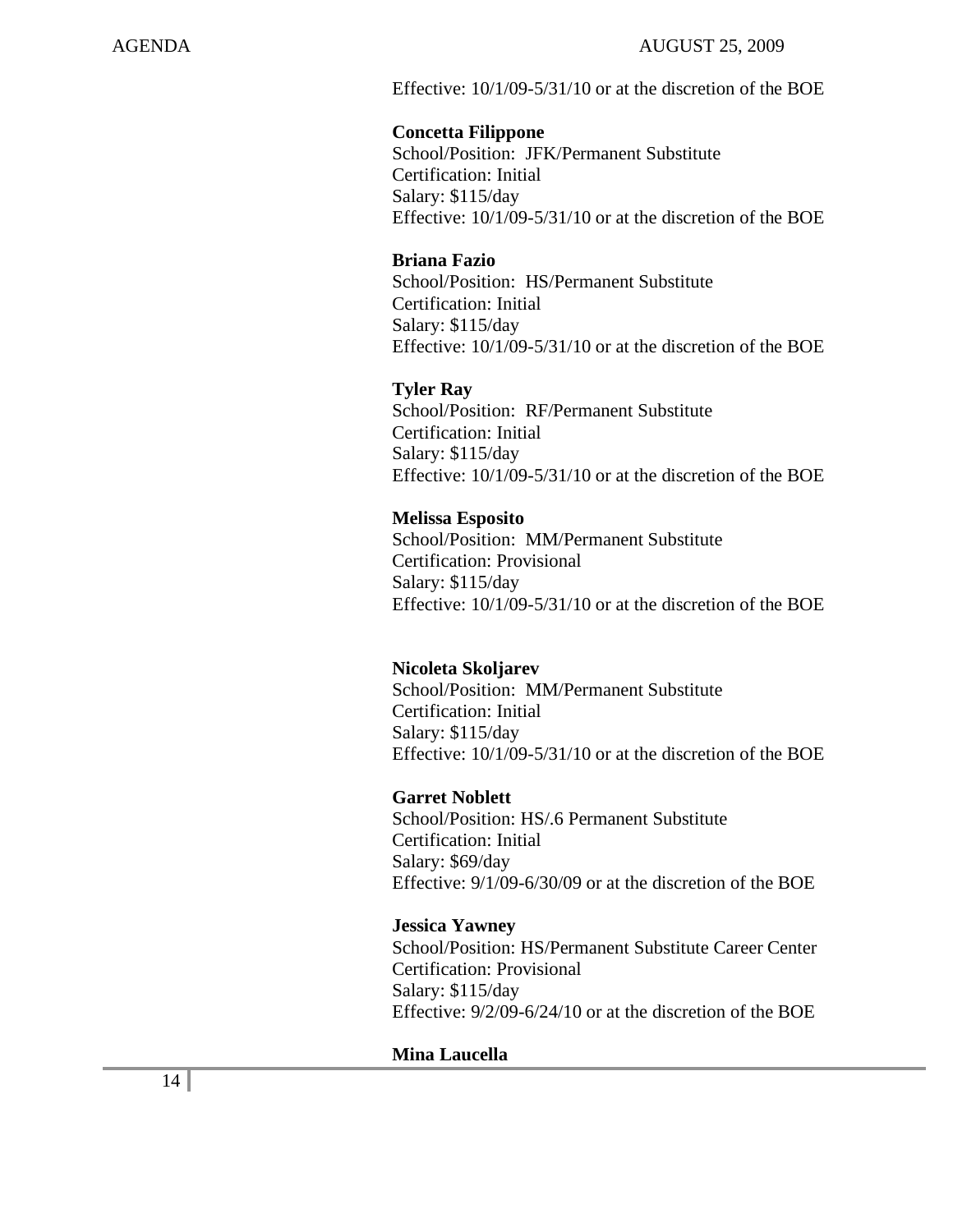Effective: 10/1/09-5/31/10 or at the discretion of the BOE

#### **Concetta Filippone**

 School/Position: JFK/Permanent Substitute Certification: Initial Salary: \$115/day Effective: 10/1/09-5/31/10 or at the discretion of the BOE

#### **Briana Fazio**

 School/Position: HS/Permanent Substitute Certification: Initial Salary: \$115/day Effective: 10/1/09-5/31/10 or at the discretion of the BOE

#### **Tyler Ray**

 School/Position: RF/Permanent Substitute Certification: Initial Salary: \$115/day Effective: 10/1/09-5/31/10 or at the discretion of the BOE

#### **Melissa Esposito**

 School/Position: MM/Permanent Substitute Certification: Provisional Salary: \$115/day Effective: 10/1/09-5/31/10 or at the discretion of the BOE

#### **Nicoleta Skoljarev**

 School/Position: MM/Permanent Substitute Certification: Initial Salary: \$115/day Effective: 10/1/09-5/31/10 or at the discretion of the BOE

#### **Garret Noblett**

School/Position: HS/.6 Permanent Substitute Certification: Initial Salary: \$69/day Effective: 9/1/09-6/30/09 or at the discretion of the BOE

#### **Jessica Yawney**

 School/Position: HS/Permanent Substitute Career Center Certification: Provisional Salary: \$115/day Effective: 9/2/09-6/24/10 or at the discretion of the BOE

#### **Mina Laucella**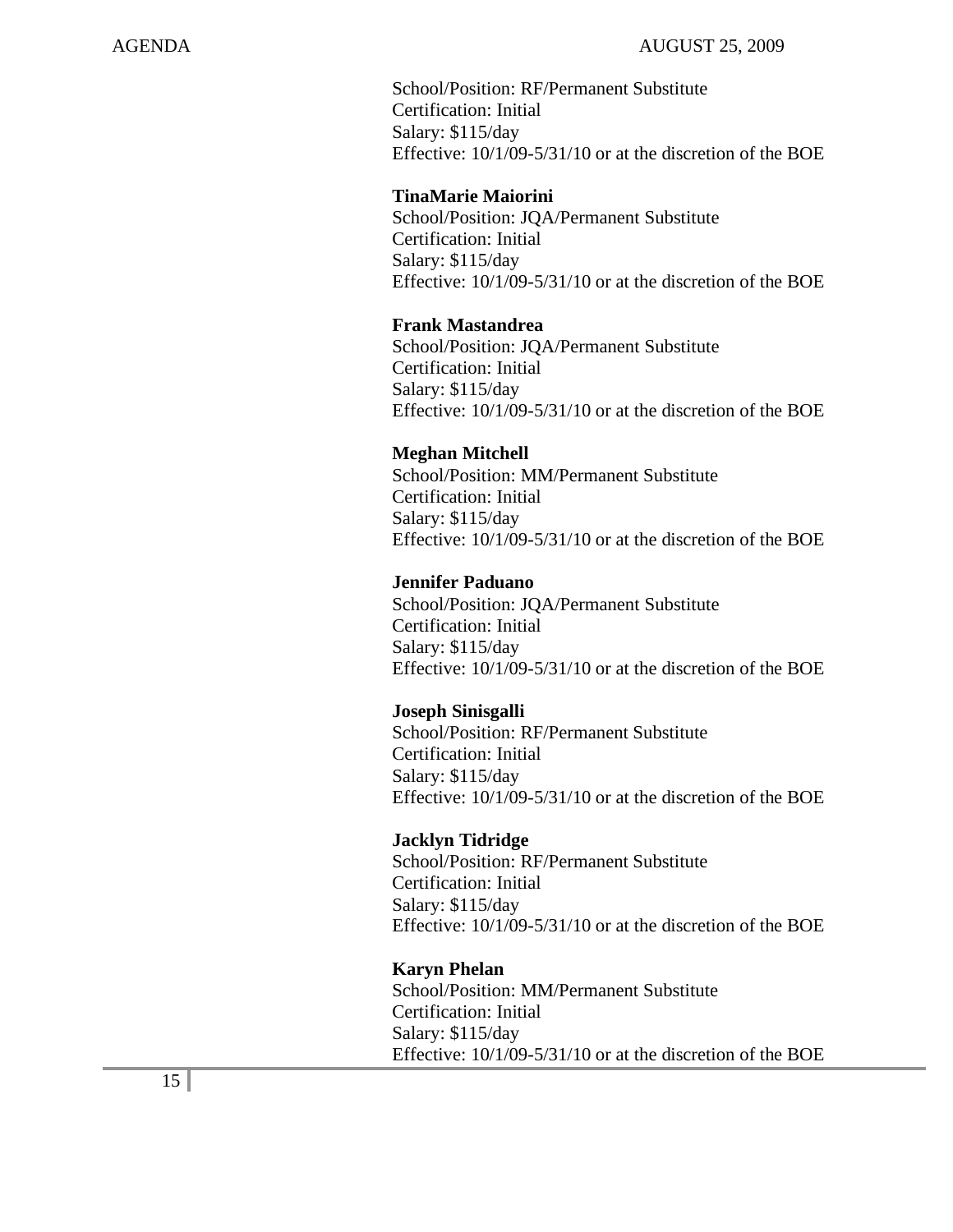School/Position: RF/Permanent Substitute Certification: Initial Salary: \$115/day Effective: 10/1/09-5/31/10 or at the discretion of the BOE

## **TinaMarie Maiorini**

 School/Position: JQA/Permanent Substitute Certification: Initial Salary: \$115/day Effective: 10/1/09-5/31/10 or at the discretion of the BOE

## **Frank Mastandrea**

 School/Position: JQA/Permanent Substitute Certification: Initial Salary: \$115/day Effective: 10/1/09-5/31/10 or at the discretion of the BOE

## **Meghan Mitchell**

 School/Position: MM/Permanent Substitute Certification: Initial Salary: \$115/day Effective: 10/1/09-5/31/10 or at the discretion of the BOE

## **Jennifer Paduano**

 School/Position: JQA/Permanent Substitute Certification: Initial Salary: \$115/day Effective: 10/1/09-5/31/10 or at the discretion of the BOE

#### **Joseph Sinisgalli**

 School/Position: RF/Permanent Substitute Certification: Initial Salary: \$115/day Effective: 10/1/09-5/31/10 or at the discretion of the BOE

#### **Jacklyn Tidridge**

 School/Position: RF/Permanent Substitute Certification: Initial Salary: \$115/day Effective: 10/1/09-5/31/10 or at the discretion of the BOE

## **Karyn Phelan**

 School/Position: MM/Permanent Substitute Certification: Initial Salary: \$115/day Effective: 10/1/09-5/31/10 or at the discretion of the BOE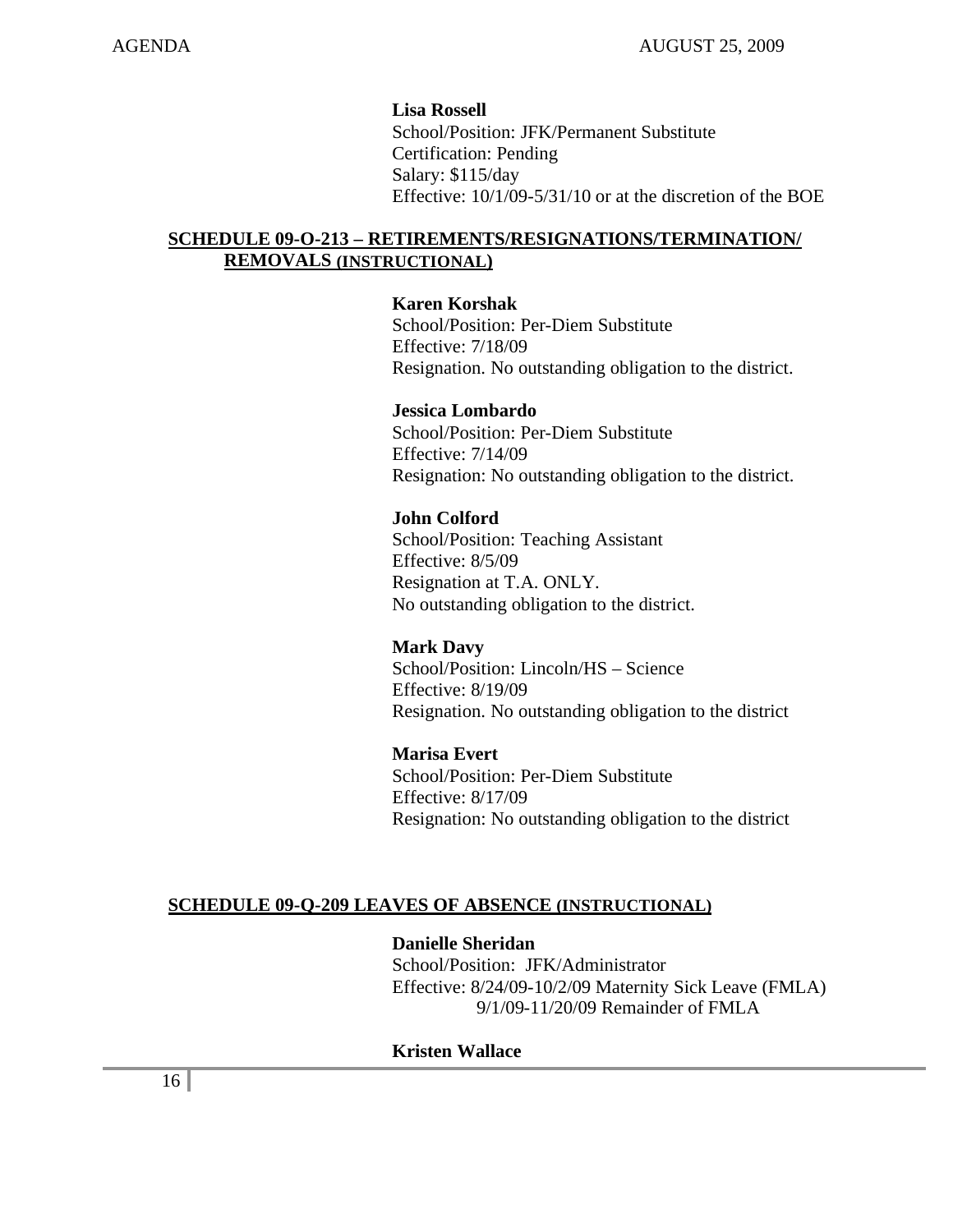#### **Lisa Rossell**

 School/Position: JFK/Permanent Substitute Certification: Pending Salary: \$115/day Effective: 10/1/09-5/31/10 or at the discretion of the BOE

## **SCHEDULE 09-O-213 – RETIREMENTS/RESIGNATIONS/TERMINATION/ REMOVALS (INSTRUCTIONAL)**

### **Karen Korshak**

 School/Position: Per-Diem Substitute Effective: 7/18/09 Resignation. No outstanding obligation to the district.

#### **Jessica Lombardo**

 School/Position: Per-Diem Substitute Effective: 7/14/09 Resignation: No outstanding obligation to the district.

#### **John Colford**

 School/Position: Teaching Assistant Effective: 8/5/09 Resignation at T.A. ONLY. No outstanding obligation to the district.

 **Mark Davy**  School/Position: Lincoln/HS – Science Effective: 8/19/09 Resignation. No outstanding obligation to the district

#### **Marisa Evert**

School/Position: Per-Diem Substitute Effective: 8/17/09 Resignation: No outstanding obligation to the district

#### **SCHEDULE 09-Q-209 LEAVES OF ABSENCE (INSTRUCTIONAL)**

## **Danielle Sheridan**

School/Position: JFK/Administrator Effective: 8/24/09-10/2/09 Maternity Sick Leave (FMLA) 9/1/09-11/20/09 Remainder of FMLA

### **Kristen Wallace**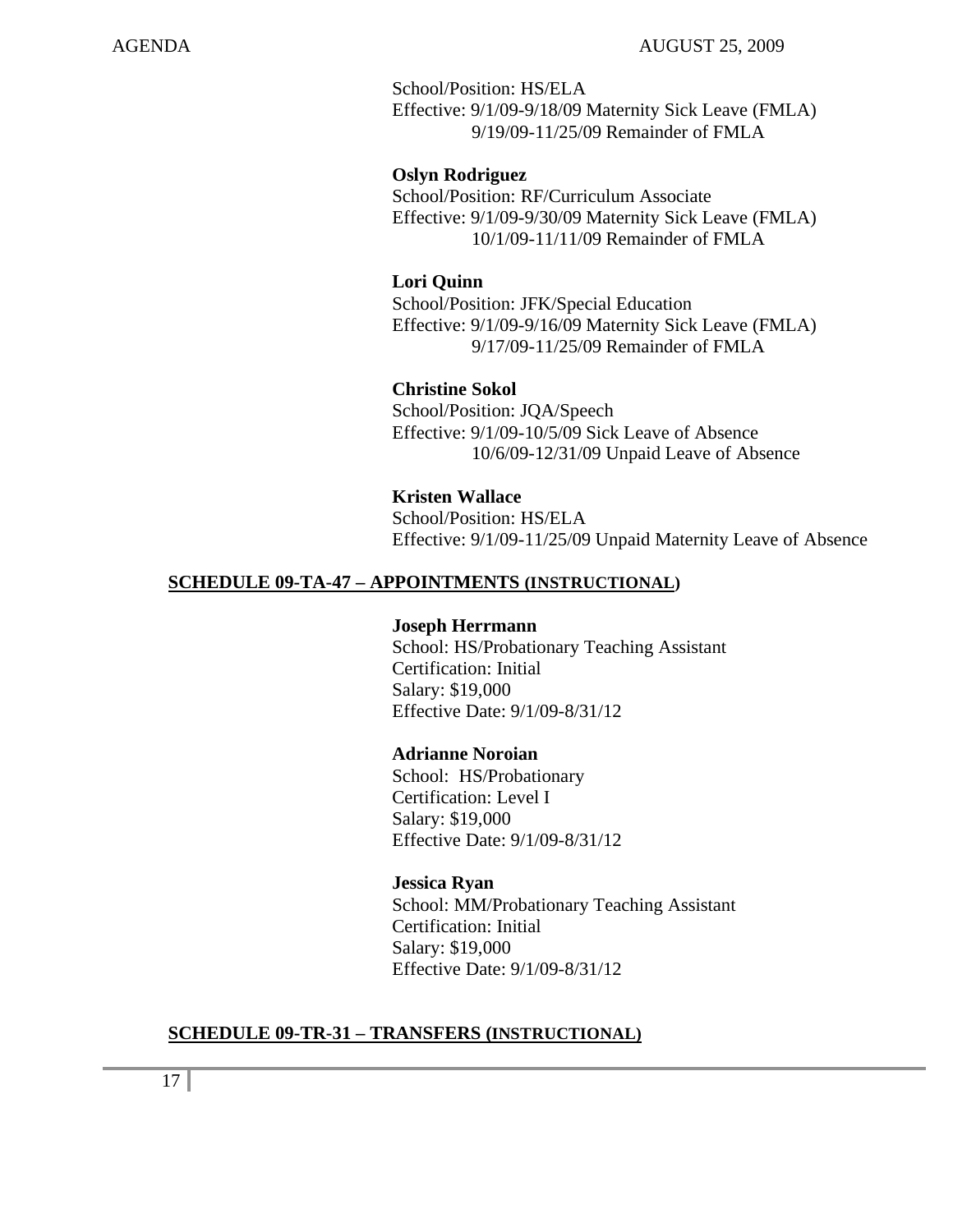School/Position: HS/ELA Effective: 9/1/09-9/18/09 Maternity Sick Leave (FMLA) 9/19/09-11/25/09 Remainder of FMLA

#### **Oslyn Rodriguez**

 School/Position: RF/Curriculum Associate Effective: 9/1/09-9/30/09 Maternity Sick Leave (FMLA) 10/1/09-11/11/09 Remainder of FMLA

## **Lori Quinn**

School/Position: JFK/Special Education Effective: 9/1/09-9/16/09 Maternity Sick Leave (FMLA) 9/17/09-11/25/09 Remainder of FMLA

#### **Christine Sokol**

School/Position: JQA/Speech Effective: 9/1/09-10/5/09 Sick Leave of Absence 10/6/09-12/31/09 Unpaid Leave of Absence

 **Kristen Wallace** School/Position: HS/ELA Effective: 9/1/09-11/25/09 Unpaid Maternity Leave of Absence

#### **SCHEDULE 09-TA-47 – APPOINTMENTS (INSTRUCTIONAL)**

#### **Joseph Herrmann**

School: HS/Probationary Teaching Assistant Certification: Initial Salary: \$19,000 Effective Date: 9/1/09-8/31/12

#### **Adrianne Noroian**

 School: HS/Probationary Certification: Level I Salary: \$19,000 Effective Date: 9/1/09-8/31/12

#### **Jessica Ryan**

 School: MM/Probationary Teaching Assistant Certification: Initial Salary: \$19,000 Effective Date: 9/1/09-8/31/12

#### **SCHEDULE 09-TR-31 – TRANSFERS (INSTRUCTIONAL)**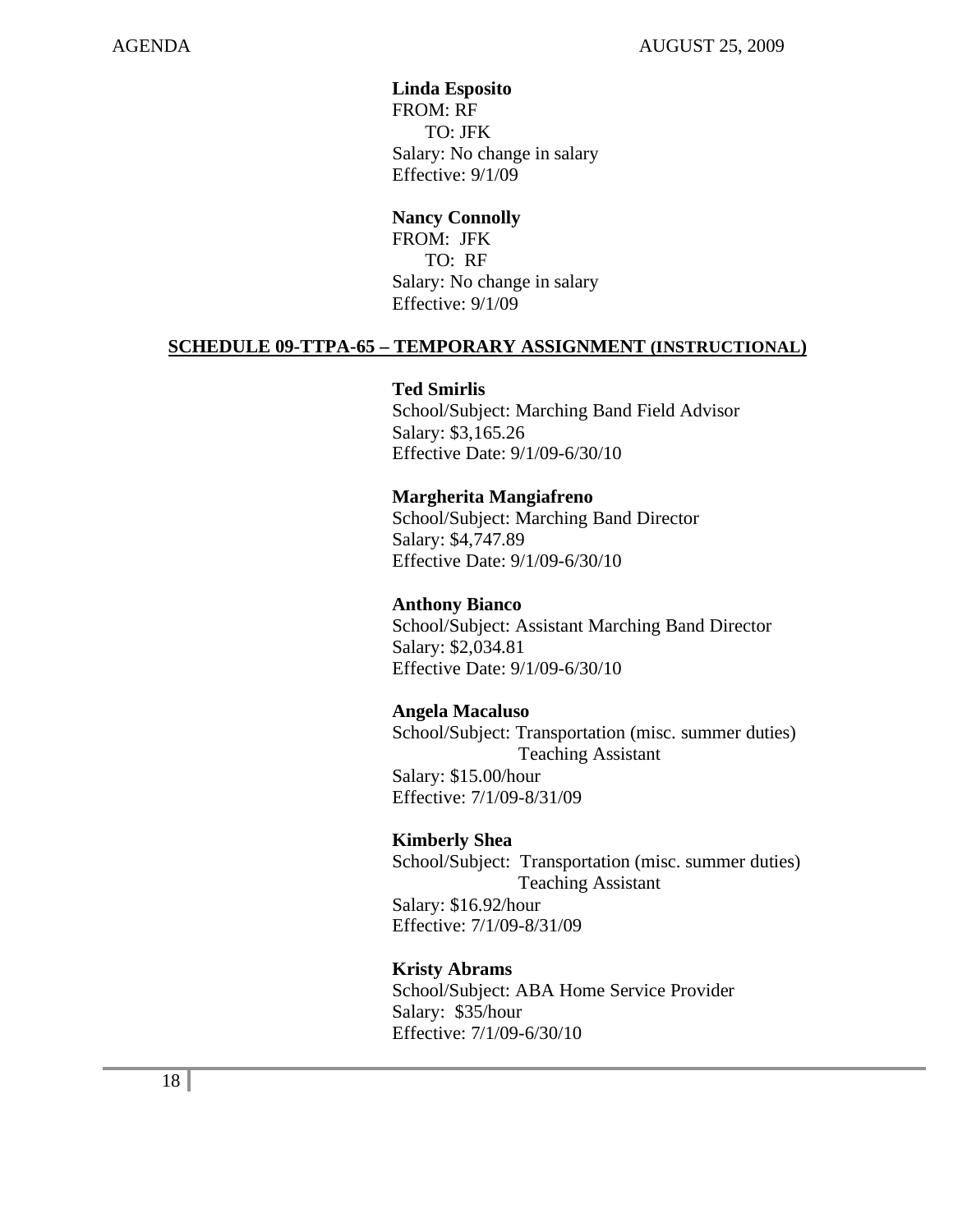**Linda Esposito**  FROM: RF TO: JFK Salary: No change in salary Effective: 9/1/09

## **Nancy Connolly**

 FROM: JFK TO: RF Salary: No change in salary Effective: 9/1/09

## **SCHEDULE 09-TTPA-65 – TEMPORARY ASSIGNMENT (INSTRUCTIONAL)**

#### **Ted Smirlis**

 School/Subject: Marching Band Field Advisor Salary: \$3,165.26 Effective Date: 9/1/09-6/30/10

#### **Margherita Mangiafreno**

 School/Subject: Marching Band Director Salary: \$4,747.89 Effective Date: 9/1/09-6/30/10

#### **Anthony Bianco**

 School/Subject: Assistant Marching Band Director Salary: \$2,034.81 Effective Date: 9/1/09-6/30/10

#### **Angela Macaluso**

School/Subject: Transportation (misc. summer duties) Teaching Assistant Salary: \$15.00/hour

Effective: 7/1/09-8/31/09

#### **Kimberly Shea**

 School/Subject: Transportation (misc. summer duties) Teaching Assistant

Salary: \$16.92/hour Effective: 7/1/09-8/31/09

#### **Kristy Abrams**

 School/Subject: ABA Home Service Provider Salary: \$35/hour Effective: 7/1/09-6/30/10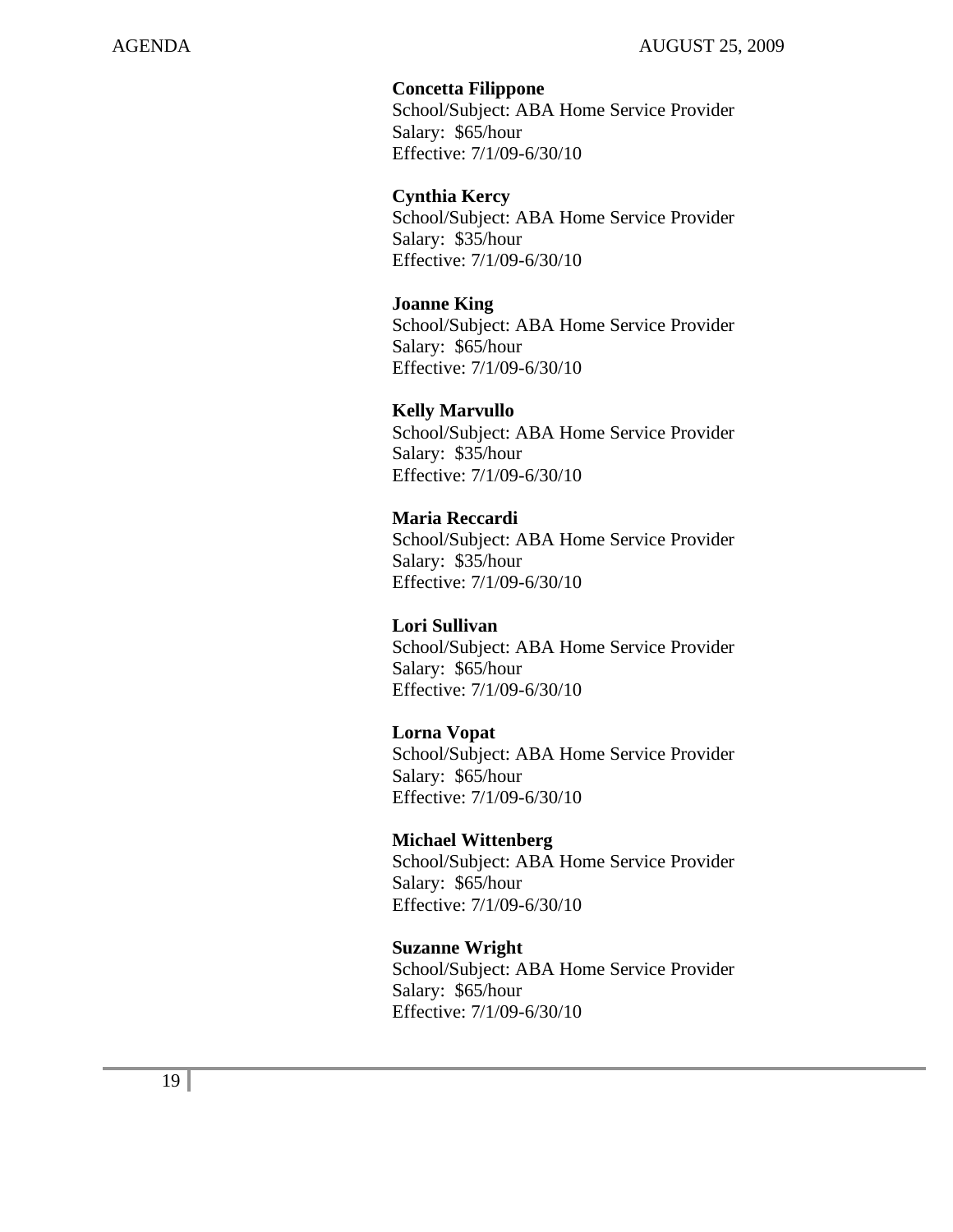#### **Concetta Filippone**

 School/Subject: ABA Home Service Provider Salary: \$65/hour Effective: 7/1/09-6/30/10

#### **Cynthia Kercy**

 School/Subject: ABA Home Service Provider Salary: \$35/hour Effective: 7/1/09-6/30/10

#### **Joanne King**

 School/Subject: ABA Home Service Provider Salary: \$65/hour Effective: 7/1/09-6/30/10

#### **Kelly Marvullo**

 School/Subject: ABA Home Service Provider Salary: \$35/hour Effective: 7/1/09-6/30/10

#### **Maria Reccardi**

 School/Subject: ABA Home Service Provider Salary: \$35/hour Effective: 7/1/09-6/30/10

## **Lori Sullivan**

 School/Subject: ABA Home Service Provider Salary: \$65/hour Effective: 7/1/09-6/30/10

#### **Lorna Vopat**

 School/Subject: ABA Home Service Provider Salary: \$65/hour Effective: 7/1/09-6/30/10

#### **Michael Wittenberg**

 School/Subject: ABA Home Service Provider Salary: \$65/hour Effective: 7/1/09-6/30/10

#### **Suzanne Wright**

 School/Subject: ABA Home Service Provider Salary: \$65/hour Effective: 7/1/09-6/30/10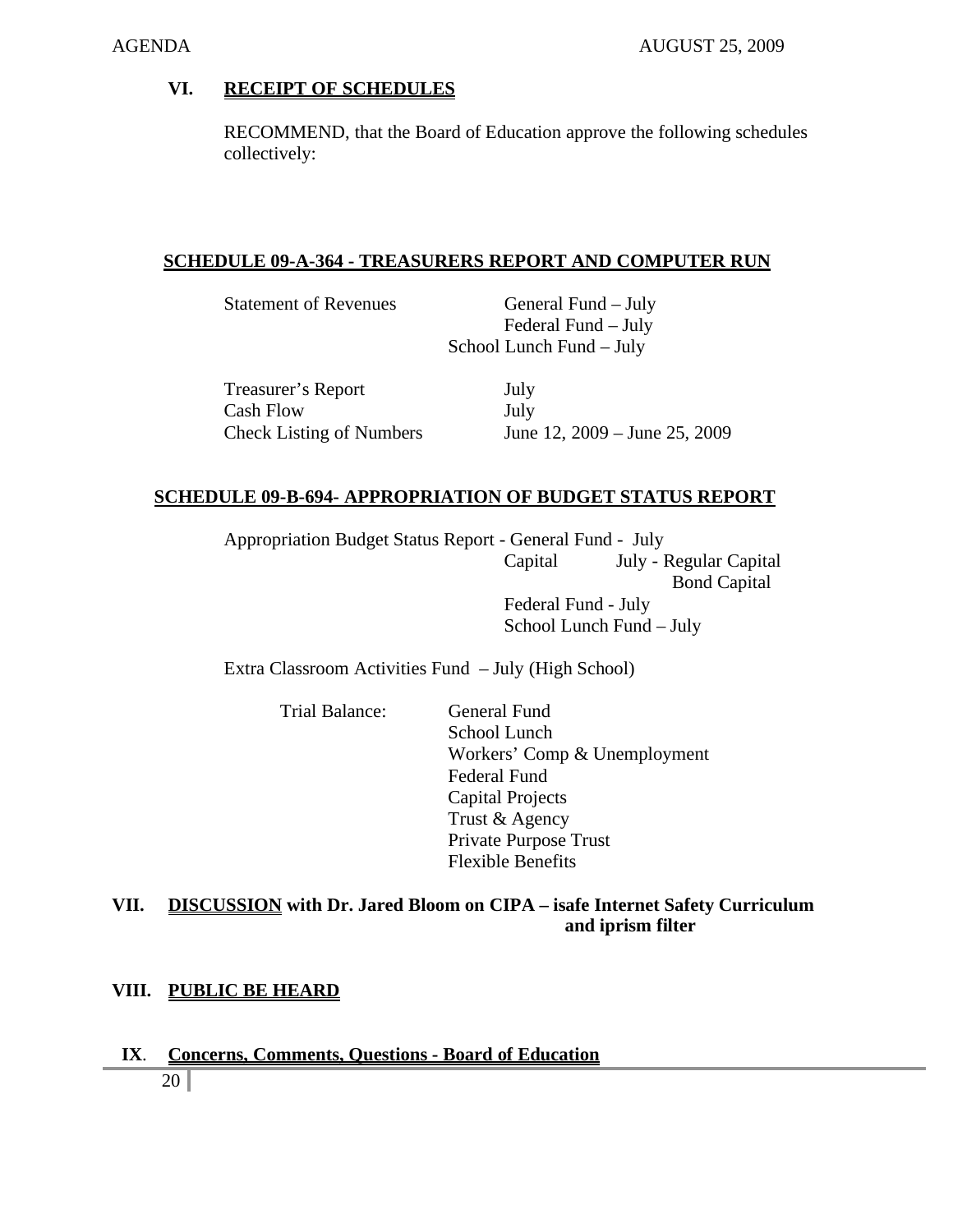## **VI. RECEIPT OF SCHEDULES**

RECOMMEND, that the Board of Education approve the following schedules collectively:

## **SCHEDULE 09-A-364 - TREASURERS REPORT AND COMPUTER RUN**

**Statement of Revenues** General Fund – July

 Federal Fund – July School Lunch Fund – July

 Treasurer's Report July Cash Flow July

Check Listing of Numbers June 12, 2009 – June 25, 2009

## **SCHEDULE 09-B-694- APPROPRIATION OF BUDGET STATUS REPORT**

Appropriation Budget Status Report - General Fund - July Capital July - Regular Capital Bond Capital Federal Fund - July School Lunch Fund – July

Extra Classroom Activities Fund – July (High School)

Trial Balance: General Fund

 School Lunch Workers' Comp & Unemployment Federal Fund Capital Projects Trust & Agency Private Purpose Trust Flexible Benefits

## **VII. DISCUSSION with Dr. Jared Bloom on CIPA – isafe Internet Safety Curriculum and iprism filter**

## **VIII. PUBLIC BE HEARD**

## 20 |  **IX**. **Concerns, Comments, Questions - Board of Education**